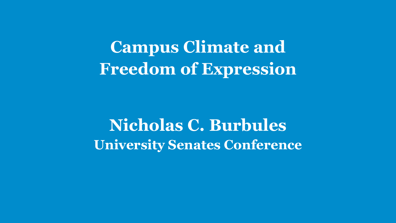**Campus Climate and Freedom of Expression**

**Nicholas C. Burbules University Senates Conference**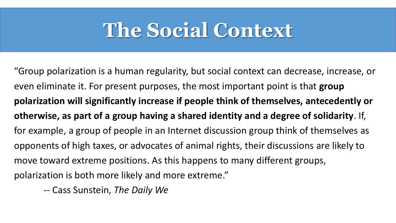#### **The Social Context**

"Group polarization is a human regularity, but social context can decrease, increase, or even eliminate it. For present purposes, the most important point is that **group polarization will significantly increase if people think of themselves, antecedently or otherwise, as part of a group having a shared identity and a degree of solidarity**. If, for example, a group of people in an Internet discussion group think of themselves as opponents of high taxes, or advocates of animal rights, their discussions are likely to move toward extreme positions. As this happens to many different groups, polarization is both more likely and more extreme."

-- Cass Sunstein, *The Daily We*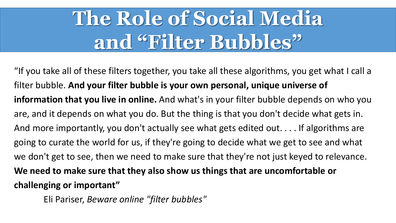# **The Role of Social Media and "Filter Bubbles"**

"If you take all of these filters together, you take all these algorithms, you get what I call a filter bubble. **And your filter bubble is your own personal, unique universe of information that you live in online.** And what's in your filter bubble depends on who you are, and it depends on what you do. But the thing is that you don't decide what gets in. And more importantly, you don't actually see what gets edited out. . . . If algorithms are going to curate the world for us, if they're going to decide what we get to see and what we don't get to see, then we need to make sure that they're not just keyed to relevance. **We need to make sure that they also show us things that are uncomfortable or challenging or important"** 

Eli Pariser, *Beware online "filter bubbles"*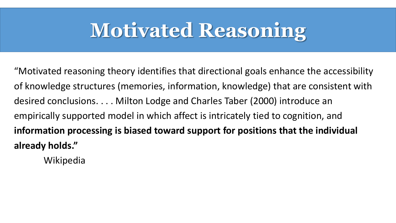## **Motivated Reasoning**

"Motivated reasoning theory identifies that directional goals enhance the accessibility of knowledge structures (memories, information, knowledge) that are consistent with desired conclusions. . . . Milton Lodge and Charles Taber (2000) introduce an empirically supported model in which affect is intricately tied to cognition, and **information processing is biased toward support for positions that the individual already holds."**

Wikipedia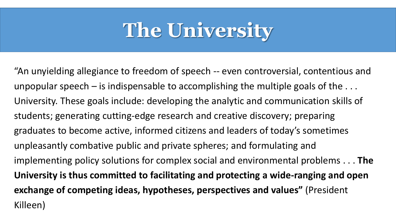## **The University**

"An unyielding allegiance to freedom of speech -- even controversial, contentious and unpopular speech  $-$  is indispensable to accomplishing the multiple goals of the  $\dots$ University. These goals include: developing the analytic and communication skills of students; generating cutting-edge research and creative discovery; preparing graduates to become active, informed citizens and leaders of today's sometimes unpleasantly combative public and private spheres; and formulating and implementing policy solutions for complex social and environmental problems . . . **The University is thus committed to facilitating and protecting a wide-ranging and open exchange of competing ideas, hypotheses, perspectives and values"** (President Killeen)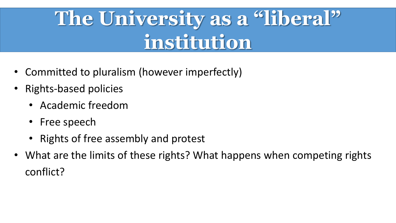# **The University as a "liberal" institution**

- Committed to pluralism (however imperfectly)
- Rights-based policies
	- Academic freedom
	- Free speech
	- Rights of free assembly and protest
- What are the limits of these rights? What happens when competing rights conflict?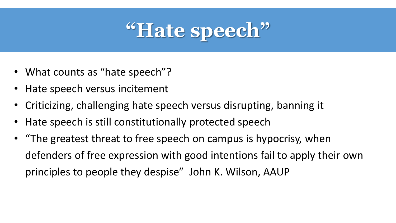

- What counts as "hate speech"?
- Hate speech versus incitement
- Criticizing, challenging hate speech versus disrupting, banning it
- Hate speech is still constitutionally protected speech
- "The greatest threat to free speech on campus is hypocrisy, when defenders of free expression with good intentions fail to apply their own principles to people they despise" John K. Wilson, AAUP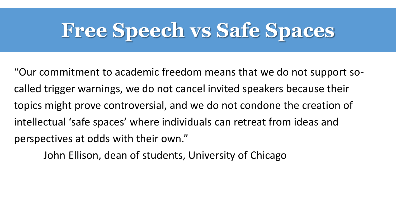#### **Free Speech vs Safe Spaces**

"Our commitment to academic freedom means that we do not support socalled trigger warnings, we do not cancel invited speakers because their topics might prove controversial, and we do not condone the creation of intellectual 'safe spaces' where individuals can retreat from ideas and perspectives at odds with their own."

John Ellison, dean of students, University of Chicago